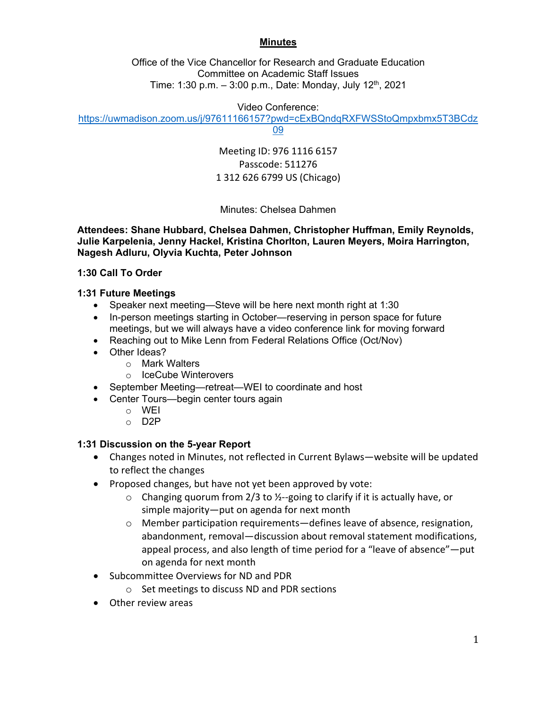## **Minutes**

Office of the Vice Chancellor for Research and Graduate Education Committee on Academic Staff Issues Time: 1:30 p.m.  $-$  3:00 p.m., Date: Monday, July 12<sup>th</sup>, 2021

Video Conference:

https://uwmadison.zoom.us/j/97611166157?pwd=cExBQndqRXFWSStoQmpxbmx5T3BCdz

09

Meeting ID: 976 1116 6157 Passcode: 511276 1 312 626 6799 US (Chicago)

Minutes: Chelsea Dahmen

**Attendees: Shane Hubbard, Chelsea Dahmen, Christopher Huffman, Emily Reynolds, Julie Karpelenia, Jenny Hackel, Kristina Chorlton, Lauren Meyers, Moira Harrington, Nagesh Adluru, Olyvia Kuchta, Peter Johnson** 

### **1:30 Call To Order**

## **1:31 Future Meetings**

- Speaker next meeting—Steve will be here next month right at 1:30
- In-person meetings starting in October—reserving in person space for future meetings, but we will always have a video conference link for moving forward
- Reaching out to Mike Lenn from Federal Relations Office (Oct/Nov)
- Other Ideas?
	- o Mark Walters
	- o IceCube Winterovers
- September Meeting—retreat—WEI to coordinate and host
- Center Tours—begin center tours again
	- o WEI
	- o D2P

# **1:31 Discussion on the 5-year Report**

- Changes noted in Minutes, not reflected in Current Bylaws—website will be updated to reflect the changes
- Proposed changes, but have not yet been approved by vote:
	- $\circ$  Changing quorum from 2/3 to ½--going to clarify if it is actually have, or simple majority—put on agenda for next month
	- $\circ$  Member participation requirements—defines leave of absence, resignation, abandonment, removal—discussion about removal statement modifications, appeal process, and also length of time period for a "leave of absence"—put on agenda for next month
- Subcommittee Overviews for ND and PDR
	- o Set meetings to discuss ND and PDR sections
- Other review areas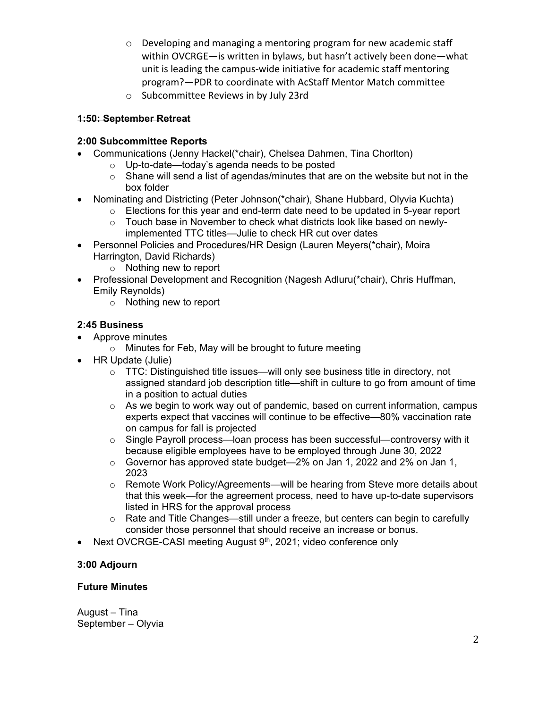- o Developing and managing a mentoring program for new academic staff within OVCRGE—is written in bylaws, but hasn't actively been done—what unit is leading the campus‐wide initiative for academic staff mentoring program?—PDR to coordinate with AcStaff Mentor Match committee
- o Subcommittee Reviews in by July 23rd

## **1:50: September Retreat**

## **2:00 Subcommittee Reports**

- Communications (Jenny Hackel(\*chair), Chelsea Dahmen, Tina Chorlton)
	- o Up-to-date—today's agenda needs to be posted
	- $\circ$  Shane will send a list of agendas/minutes that are on the website but not in the box folder
- Nominating and Districting (Peter Johnson(\*chair), Shane Hubbard, Olyvia Kuchta)
	- $\circ$  Elections for this year and end-term date need to be updated in 5-year report
	- $\circ$  Touch base in November to check what districts look like based on newlyimplemented TTC titles—Julie to check HR cut over dates
- Personnel Policies and Procedures/HR Design (Lauren Meyers(\*chair), Moira Harrington, David Richards)
	- o Nothing new to report
- Professional Development and Recognition (Nagesh Adluru(\*chair), Chris Huffman, Emily Reynolds)
	- o Nothing new to report

## **2:45 Business**

- Approve minutes
	- o Minutes for Feb, May will be brought to future meeting
- HR Update (Julie)
	- $\circ$  TTC: Distinguished title issues—will only see business title in directory, not assigned standard job description title—shift in culture to go from amount of time in a position to actual duties
	- $\circ$  As we begin to work way out of pandemic, based on current information, campus experts expect that vaccines will continue to be effective—80% vaccination rate on campus for fall is projected
	- $\circ$  Single Payroll process—loan process has been successful—controversy with it because eligible employees have to be employed through June 30, 2022
	- o Governor has approved state budget—2% on Jan 1, 2022 and 2% on Jan 1, 2023
	- o Remote Work Policy/Agreements—will be hearing from Steve more details about that this week—for the agreement process, need to have up-to-date supervisors listed in HRS for the approval process
	- $\circ$  Rate and Title Changes—still under a freeze, but centers can begin to carefully consider those personnel that should receive an increase or bonus.
- Next OVCRGE-CASI meeting August 9<sup>th</sup>, 2021; video conference only

### **3:00 Adjourn**

### **Future Minutes**

August – Tina September – Olyvia